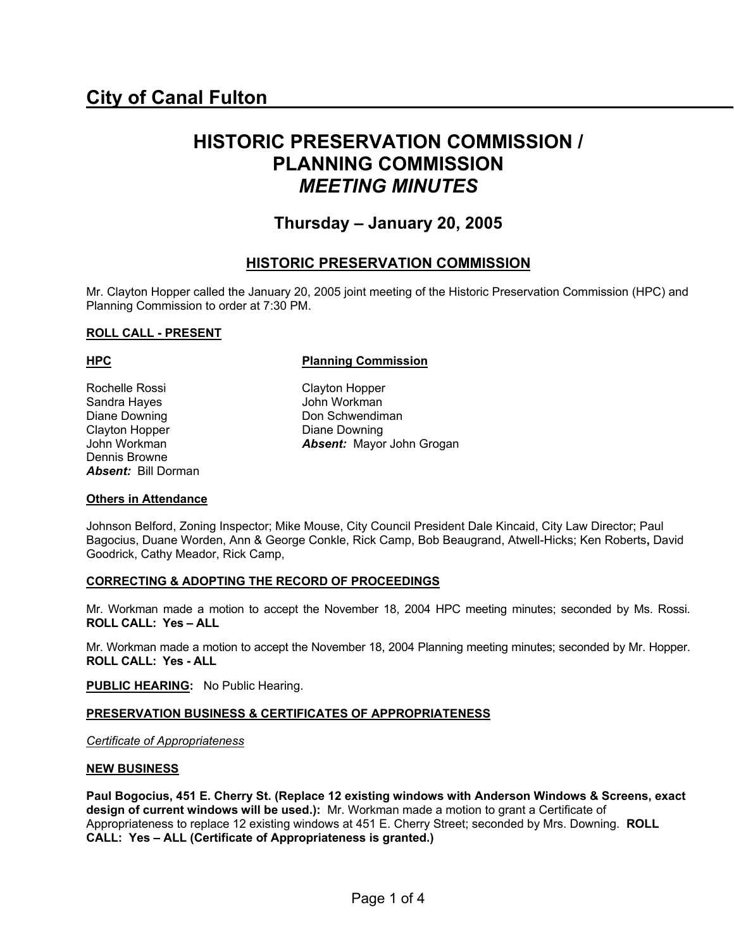# **HISTORIC PRESERVATION COMMISSION / PLANNING COMMISSION**  *MEETING MINUTES*

# **Thursday – January 20, 2005**

## **HISTORIC PRESERVATION COMMISSION**

Mr. Clayton Hopper called the January 20, 2005 joint meeting of the Historic Preservation Commission (HPC) and Planning Commission to order at 7:30 PM.

#### **ROLL CALL - PRESENT**

Rochelle Rossi Clayton Hopper Sandra Hayes **John Workman**<br>Diane Downing **John Schwendiman** Diane Downing Clayton Hopper Diane Downing Dennis Browne *Absent:* Bill Dorman

#### **HPC Planning Commission**

John Workman *Absent:* Mayor John Grogan

#### **Others in Attendance**

Johnson Belford, Zoning Inspector; Mike Mouse, City Council President Dale Kincaid, City Law Director; Paul Bagocius, Duane Worden, Ann & George Conkle, Rick Camp, Bob Beaugrand, Atwell-Hicks; Ken Roberts**,** David Goodrick, Cathy Meador, Rick Camp,

#### **CORRECTING & ADOPTING THE RECORD OF PROCEEDINGS**

Mr. Workman made a motion to accept the November 18, 2004 HPC meeting minutes; seconded by Ms. Rossi. **ROLL CALL: Yes – ALL** 

Mr. Workman made a motion to accept the November 18, 2004 Planning meeting minutes; seconded by Mr. Hopper. **ROLL CALL: Yes - ALL** 

**PUBLIC HEARING:** No Public Hearing.

#### **PRESERVATION BUSINESS & CERTIFICATES OF APPROPRIATENESS**

*Certificate of Appropriateness*

#### **NEW BUSINESS**

**Paul Bogocius, 451 E. Cherry St. (Replace 12 existing windows with Anderson Windows & Screens, exact design of current windows will be used.):** Mr. Workman made a motion to grant a Certificate of Appropriateness to replace 12 existing windows at 451 E. Cherry Street; seconded by Mrs. Downing. **ROLL CALL: Yes – ALL (Certificate of Appropriateness is granted.)**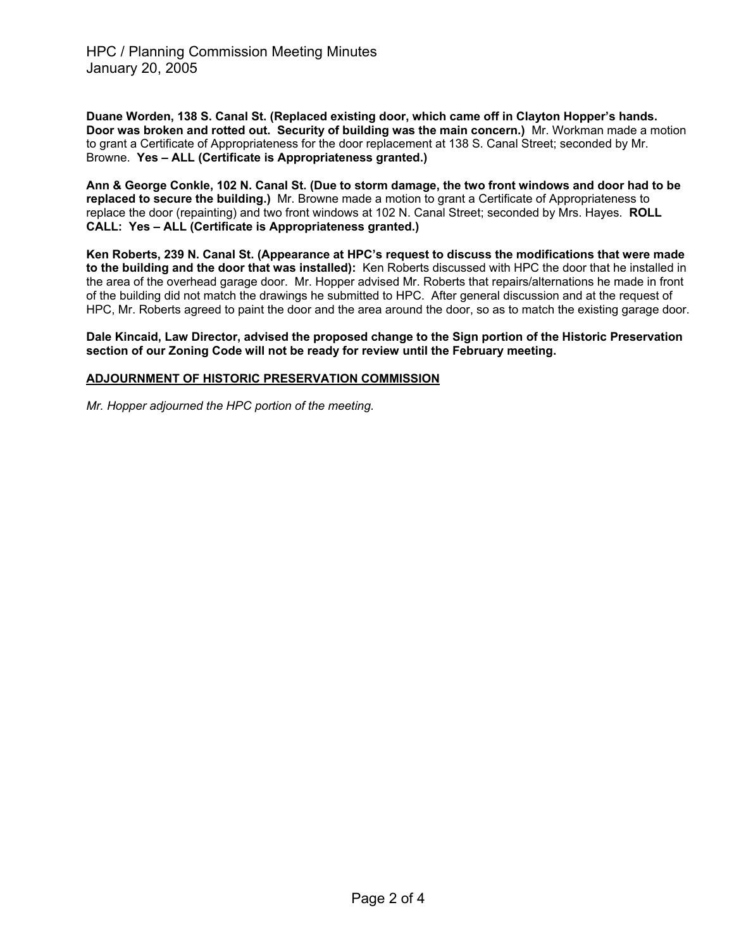**Duane Worden, 138 S. Canal St. (Replaced existing door, which came off in Clayton Hopper's hands. Door was broken and rotted out. Security of building was the main concern.)** Mr. Workman made a motion to grant a Certificate of Appropriateness for the door replacement at 138 S. Canal Street; seconded by Mr. Browne. **Yes – ALL (Certificate is Appropriateness granted.)** 

**Ann & George Conkle, 102 N. Canal St. (Due to storm damage, the two front windows and door had to be replaced to secure the building.)** Mr. Browne made a motion to grant a Certificate of Appropriateness to replace the door (repainting) and two front windows at 102 N. Canal Street; seconded by Mrs. Hayes. **ROLL CALL: Yes – ALL (Certificate is Appropriateness granted.)**

**Ken Roberts, 239 N. Canal St. (Appearance at HPC's request to discuss the modifications that were made to the building and the door that was installed):** Ken Roberts discussed with HPC the door that he installed in the area of the overhead garage door. Mr. Hopper advised Mr. Roberts that repairs/alternations he made in front of the building did not match the drawings he submitted to HPC. After general discussion and at the request of HPC, Mr. Roberts agreed to paint the door and the area around the door, so as to match the existing garage door.

**Dale Kincaid, Law Director, advised the proposed change to the Sign portion of the Historic Preservation section of our Zoning Code will not be ready for review until the February meeting.** 

#### **ADJOURNMENT OF HISTORIC PRESERVATION COMMISSION**

*Mr. Hopper adjourned the HPC portion of the meeting.*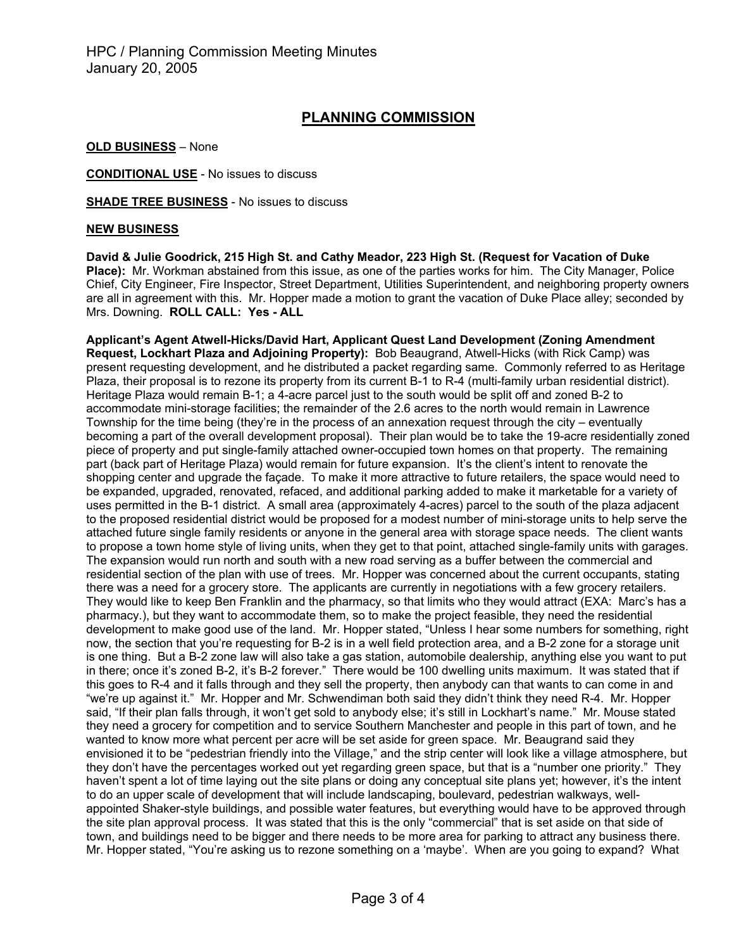# **PLANNING COMMISSION**

**OLD BUSINESS** – None

**CONDITIONAL USE** - No issues to discuss

**SHADE TREE BUSINESS** - No issues to discuss

#### **NEW BUSINESS**

**David & Julie Goodrick, 215 High St. and Cathy Meador, 223 High St. (Request for Vacation of Duke Place):** Mr. Workman abstained from this issue, as one of the parties works for him. The City Manager, Police Chief, City Engineer, Fire Inspector, Street Department, Utilities Superintendent, and neighboring property owners are all in agreement with this. Mr. Hopper made a motion to grant the vacation of Duke Place alley; seconded by Mrs. Downing. **ROLL CALL: Yes - ALL** 

**Applicant's Agent Atwell-Hicks/David Hart, Applicant Quest Land Development (Zoning Amendment Request, Lockhart Plaza and Adjoining Property):** Bob Beaugrand, Atwell-Hicks (with Rick Camp) was present requesting development, and he distributed a packet regarding same. Commonly referred to as Heritage Plaza, their proposal is to rezone its property from its current B-1 to R-4 (multi-family urban residential district). Heritage Plaza would remain B-1; a 4-acre parcel just to the south would be split off and zoned B-2 to accommodate mini-storage facilities; the remainder of the 2.6 acres to the north would remain in Lawrence Township for the time being (they're in the process of an annexation request through the city – eventually becoming a part of the overall development proposal). Their plan would be to take the 19-acre residentially zoned piece of property and put single-family attached owner-occupied town homes on that property. The remaining part (back part of Heritage Plaza) would remain for future expansion. It's the client's intent to renovate the shopping center and upgrade the façade. To make it more attractive to future retailers, the space would need to be expanded, upgraded, renovated, refaced, and additional parking added to make it marketable for a variety of uses permitted in the B-1 district. A small area (approximately 4-acres) parcel to the south of the plaza adjacent to the proposed residential district would be proposed for a modest number of mini-storage units to help serve the attached future single family residents or anyone in the general area with storage space needs. The client wants to propose a town home style of living units, when they get to that point, attached single-family units with garages. The expansion would run north and south with a new road serving as a buffer between the commercial and residential section of the plan with use of trees. Mr. Hopper was concerned about the current occupants, stating there was a need for a grocery store. The applicants are currently in negotiations with a few grocery retailers. They would like to keep Ben Franklin and the pharmacy, so that limits who they would attract (EXA: Marc's has a pharmacy.), but they want to accommodate them, so to make the project feasible, they need the residential development to make good use of the land. Mr. Hopper stated, "Unless I hear some numbers for something, right now, the section that you're requesting for B-2 is in a well field protection area, and a B-2 zone for a storage unit is one thing. But a B-2 zone law will also take a gas station, automobile dealership, anything else you want to put in there; once it's zoned B-2, it's B-2 forever." There would be 100 dwelling units maximum. It was stated that if this goes to R-4 and it falls through and they sell the property, then anybody can that wants to can come in and "we're up against it." Mr. Hopper and Mr. Schwendiman both said they didn't think they need R-4. Mr. Hopper said, "If their plan falls through, it won't get sold to anybody else; it's still in Lockhart's name." Mr. Mouse stated they need a grocery for competition and to service Southern Manchester and people in this part of town, and he wanted to know more what percent per acre will be set aside for green space. Mr. Beaugrand said they envisioned it to be "pedestrian friendly into the Village," and the strip center will look like a village atmosphere, but they don't have the percentages worked out yet regarding green space, but that is a "number one priority." They haven't spent a lot of time laying out the site plans or doing any conceptual site plans yet; however, it's the intent to do an upper scale of development that will include landscaping, boulevard, pedestrian walkways, wellappointed Shaker-style buildings, and possible water features, but everything would have to be approved through the site plan approval process. It was stated that this is the only "commercial" that is set aside on that side of town, and buildings need to be bigger and there needs to be more area for parking to attract any business there. Mr. Hopper stated, "You're asking us to rezone something on a 'maybe'. When are you going to expand? What